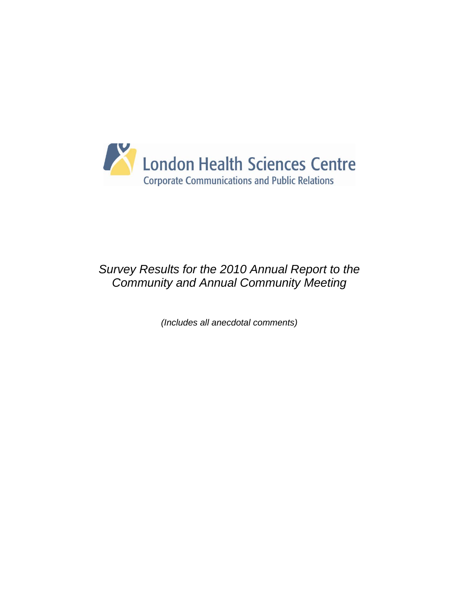

# *Survey Results for the 2010 Annual Report to the Community and Annual Community Meeting*

*(Includes all anecdotal comments)*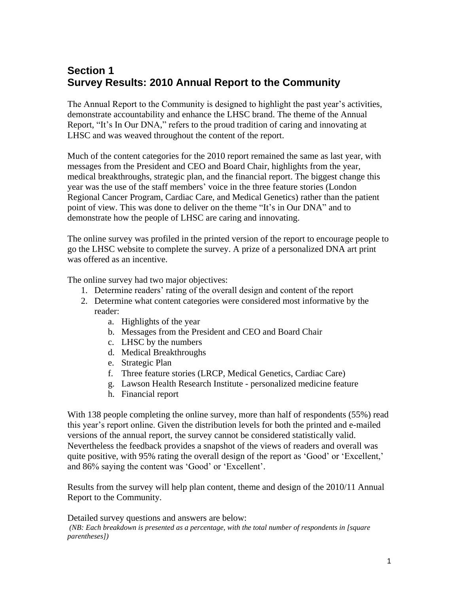# **Section 1 Survey Results: 2010 Annual Report to the Community**

The Annual Report to the Community is designed to highlight the past year's activities, demonstrate accountability and enhance the LHSC brand. The theme of the Annual Report, "It's In Our DNA," refers to the proud tradition of caring and innovating at LHSC and was weaved throughout the content of the report.

Much of the content categories for the 2010 report remained the same as last year, with messages from the President and CEO and Board Chair, highlights from the year, medical breakthroughs, strategic plan, and the financial report. The biggest change this year was the use of the staff members' voice in the three feature stories (London Regional Cancer Program, Cardiac Care, and Medical Genetics) rather than the patient point of view. This was done to deliver on the theme "It's in Our DNA" and to demonstrate how the people of LHSC are caring and innovating.

The online survey was profiled in the printed version of the report to encourage people to go the LHSC website to complete the survey. A prize of a personalized DNA art print was offered as an incentive.

The online survey had two major objectives:

- 1. Determine readers' rating of the overall design and content of the report
- 2. Determine what content categories were considered most informative by the reader:
	- a. Highlights of the year
	- b. Messages from the President and CEO and Board Chair
	- c. LHSC by the numbers
	- d. Medical Breakthroughs
	- e. Strategic Plan
	- f. Three feature stories (LRCP, Medical Genetics, Cardiac Care)
	- g. Lawson Health Research Institute personalized medicine feature
	- h. Financial report

With 138 people completing the online survey, more than half of respondents (55%) read this year"s report online. Given the distribution levels for both the printed and e-mailed versions of the annual report, the survey cannot be considered statistically valid. Nevertheless the feedback provides a snapshot of the views of readers and overall was quite positive, with 95% rating the overall design of the report as 'Good' or 'Excellent,' and 86% saying the content was "Good" or "Excellent".

Results from the survey will help plan content, theme and design of the 2010/11 Annual Report to the Community.

Detailed survey questions and answers are below:

*(NB: Each breakdown is presented as a percentage, with the total number of respondents in [square parentheses])*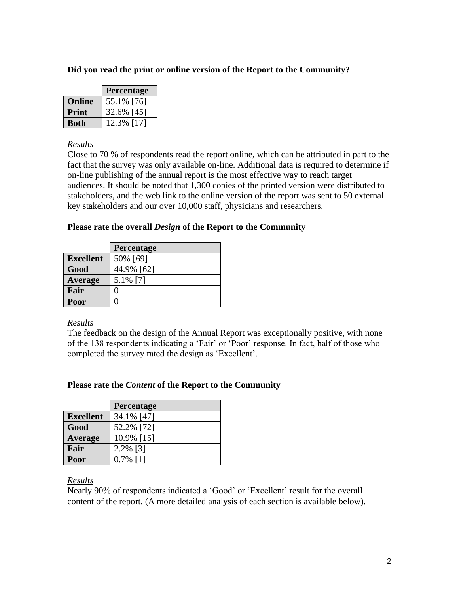## **Did you read the print or online version of the Report to the Community?**

|               | Percentage |  |  |
|---------------|------------|--|--|
| <b>Online</b> | 55.1% [76] |  |  |
| Print         | 32.6% [45] |  |  |
| <b>Both</b>   | 12.3% [17] |  |  |

#### *Results*

Close to 70 % of respondents read the report online, which can be attributed in part to the fact that the survey was only available on-line. Additional data is required to determine if on-line publishing of the annual report is the most effective way to reach target audiences. It should be noted that 1,300 copies of the printed version were distributed to stakeholders, and the web link to the online version of the report was sent to 50 external key stakeholders and our over 10,000 staff, physicians and researchers.

## **Please rate the overall** *Design* **of the Report to the Community**

|                  | Percentage |
|------------------|------------|
| <b>Excellent</b> | 50% [69]   |
| Good             | 44.9% [62] |
| Average          | 5.1% [7]   |
| Fair             |            |
| Poor             |            |

## *Results*

The feedback on the design of the Annual Report was exceptionally positive, with none of the 138 respondents indicating a "Fair" or "Poor" response. In fact, half of those who completed the survey rated the design as "Excellent".

## **Please rate the** *Content* **of the Report to the Community**

|                  | Percentage  |
|------------------|-------------|
| <b>Excellent</b> | 34.1% [47]  |
| Good             | 52.2% [72]  |
| Average          | 10.9% [15]  |
| Fair             | 2.2% [3]    |
| Poor             | $0.7\%$ [1] |

#### *Results*

Nearly 90% of respondents indicated a 'Good' or 'Excellent' result for the overall content of the report. (A more detailed analysis of each section is available below).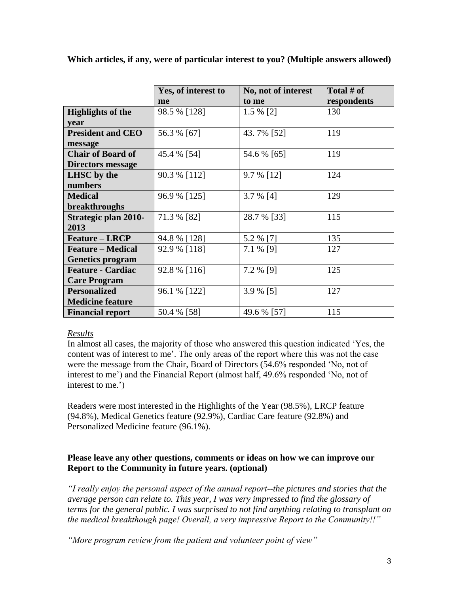|                             | Yes, of interest to | No, not of interest | Total $#$ of |
|-----------------------------|---------------------|---------------------|--------------|
|                             | me                  | to me               | respondents  |
| <b>Highlights of the</b>    | 98.5 % [128]        | 1.5 % [2]           | 130          |
| year                        |                     |                     |              |
| <b>President and CEO</b>    | 56.3 % [67]         | 43.7% [52]          | 119          |
| message                     |                     |                     |              |
| <b>Chair of Board of</b>    | 45.4 % [54]         | 54.6 % [65]         | 119          |
| <b>Directors message</b>    |                     |                     |              |
| LHSC by the                 | 90.3 % [112]        | 9.7 % [12]          | 124          |
| numbers                     |                     |                     |              |
| <b>Medical</b>              | 96.9 % [125]        | 3.7 % [4]           | 129          |
| breakthroughs               |                     |                     |              |
| <b>Strategic plan 2010-</b> | 71.3 % [82]         | 28.7 % [33]         | 115          |
| 2013                        |                     |                     |              |
| <b>Feature – LRCP</b>       | 94.8 % [128]        | 5.2 % [7]           | 135          |
| <b>Feature – Medical</b>    | 92.9 % [118]        | 7.1 % [9]           | 127          |
| <b>Genetics program</b>     |                     |                     |              |
| <b>Feature - Cardiac</b>    | 92.8 % [116]        | 7.2 % [9]           | 125          |
| <b>Care Program</b>         |                     |                     |              |
| <b>Personalized</b>         | 96.1 % [122]        | 3.9 % [5]           | 127          |
| <b>Medicine feature</b>     |                     |                     |              |
| <b>Financial report</b>     | 50.4 % [58]         | 49.6 % [57]         | 115          |

**Which articles, if any, were of particular interest to you? (Multiple answers allowed)**

## *Results*

In almost all cases, the majority of those who answered this question indicated "Yes, the content was of interest to me". The only areas of the report where this was not the case were the message from the Chair, Board of Directors (54.6% responded "No, not of interest to me') and the Financial Report (almost half, 49.6% responded 'No, not of interest to me.')

Readers were most interested in the Highlights of the Year (98.5%), LRCP feature (94.8%), Medical Genetics feature (92.9%), Cardiac Care feature (92.8%) and Personalized Medicine feature (96.1%).

#### **Please leave any other questions, comments or ideas on how we can improve our Report to the Community in future years. (optional)**

*"I really enjoy the personal aspect of the annual report--the pictures and stories that the average person can relate to. This year, I was very impressed to find the glossary of terms for the general public. I was surprised to not find anything relating to transplant on the medical breakthough page! Overall, a very impressive Report to the Community!!"*

*"More program review from the patient and volunteer point of view"*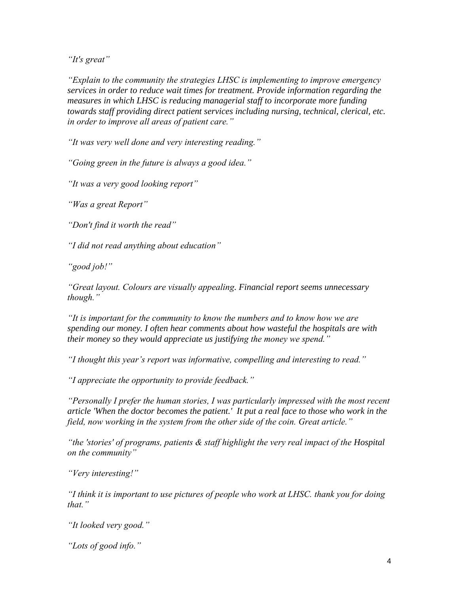*"It's great"*

*"Explain to the community the strategies LHSC is implementing to improve emergency services in order to reduce wait times for treatment. Provide information regarding the measures in which LHSC is reducing managerial staff to incorporate more funding towards staff providing direct patient services including nursing, technical, clerical, etc. in order to improve all areas of patient care."*

*"It was very well done and very interesting reading."*

*"Going green in the future is always a good idea."*

*"It was a very good looking report"*

*"Was a great Report"*

*"Don't find it worth the read"*

*"I did not read anything about education"*

*"good job!"*

*"Great layout. Colours are visually appealing. Financial report seems unnecessary though."*

*"It is important for the community to know the numbers and to know how we are spending our money. I often hear comments about how wasteful the hospitals are with their money so they would appreciate us justifying the money we spend."*

*"I thought this year's report was informative, compelling and interesting to read."*

*"I appreciate the opportunity to provide feedback."*

*"Personally I prefer the human stories, I was particularly impressed with the most recent article 'When the doctor becomes the patient.' It put a real face to those who work in the field, now working in the system from the other side of the coin. Great article."*

*"the 'stories' of programs, patients & staff highlight the very real impact of the Hospital on the community"*

*"Very interesting!"*

*"I think it is important to use pictures of people who work at LHSC. thank you for doing that."*

*"It looked very good."*

*"Lots of good info."*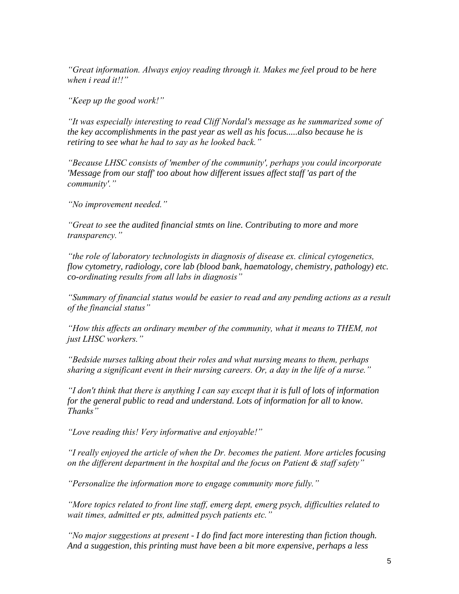*"Great information. Always enjoy reading through it. Makes me feel proud to be here when i read it!!"*

*"Keep up the good work!"*

*"It was especially interesting to read Cliff Nordal's message as he summarized some of the key accomplishments in the past year as well as his focus.....also because he is retiring to see what he had to say as he looked back."*

*"Because LHSC consists of 'member of the community', perhaps you could incorporate 'Message from our staff' too about how different issues affect staff 'as part of the community'."*

*"No improvement needed."*

*"Great to see the audited financial stmts on line. Contributing to more and more transparency."*

*"the role of laboratory technologists in diagnosis of disease ex. clinical cytogenetics, flow cytometry, radiology, core lab (blood bank, haematology, chemistry, pathology) etc. co-ordinating results from all labs in diagnosis"*

*"Summary of financial status would be easier to read and any pending actions as a result of the financial status"*

*"How this affects an ordinary member of the community, what it means to THEM, not just LHSC workers."*

*"Bedside nurses talking about their roles and what nursing means to them, perhaps sharing a significant event in their nursing careers. Or, a day in the life of a nurse."*

*"I don't think that there is anything I can say except that it is full of lots of information for the general public to read and understand. Lots of information for all to know. Thanks"*

*"Love reading this! Very informative and enjoyable!"*

*"I really enjoyed the article of when the Dr. becomes the patient. More articles focusing on the different department in the hospital and the focus on Patient & staff safety"*

*"Personalize the information more to engage community more fully."*

*"More topics related to front line staff, emerg dept, emerg psych, difficulties related to wait times, admitted er pts, admitted psych patients etc."*

*"No major suggestions at present - I do find fact more interesting than fiction though. And a suggestion, this printing must have been a bit more expensive, perhaps a less*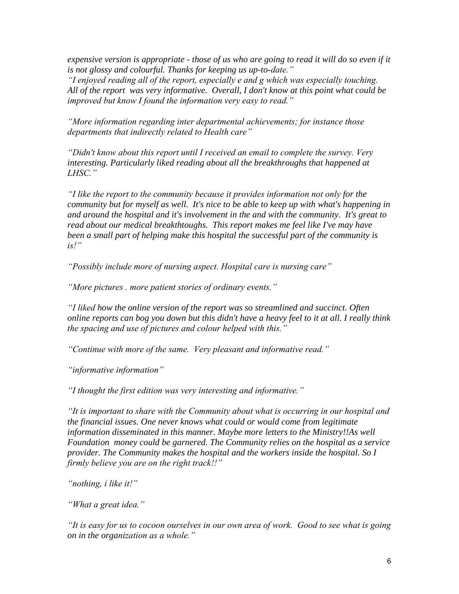*expensive version is appropriate - those of us who are going to read it will do so even if it is not glossy and colourful. Thanks for keeping us up-to-date."*

*"I enjoyed reading all of the report, especially e and g which was especially touching. All of the report was very informative. Overall, I don't know at this point what could be improved but know I found the information very easy to read."*

*"More information regarding inter departmental achievements; for instance those departments that indirectly related to Health care"*

*"Didn't know about this report until I received an email to complete the survey. Very interesting. Particularly liked reading about all the breakthroughs that happened at LHSC."*

*"I like the report to the community because it provides information not only for the community but for myself as well. It's nice to be able to keep up with what's happening in and around the hospital and it's involvement in the and with the community. It's great to read about our medical breakthtoughs. This report makes me feel like I've may have been a small part of helping make this hospital the successful part of the community is is!"*

*"Possibly include more of nursing aspect. Hospital care is nursing care"*

*"More pictures . more patient stories of ordinary events."*

*"I liked how the online version of the report was so streamlined and succinct. Often online reports can bog you down but this didn't have a heavy feel to it at all. I really think the spacing and use of pictures and colour helped with this."*

*"Continue with more of the same. Very pleasant and informative read."*

*"informative information"*

*"I thought the first edition was very interesting and informative."*

*"It is important to share with the Community about what is occurring in our hospital and the financial issues. One never knows what could or would come from legitimate information disseminated in this manner. Maybe more letters to the Ministry!!As well Foundation money could be garnered. The Community relies on the hospital as a service provider. The Community makes the hospital and the workers inside the hospital. So I firmly believe you are on the right track!!"*

*"nothing, i like it!"*

*"What a great idea."*

*"It is easy for us to cocoon ourselves in our own area of work. Good to see what is going on in the organization as a whole."*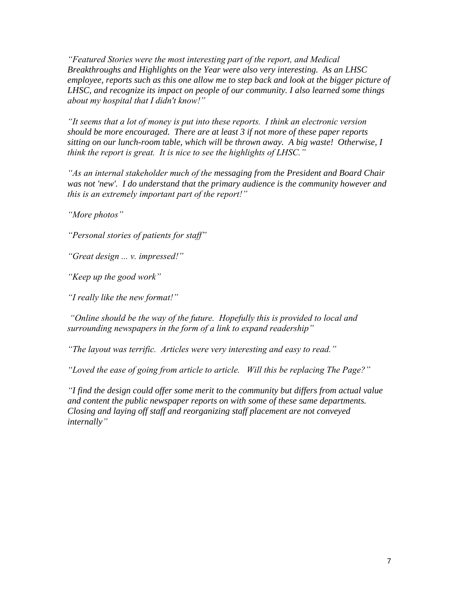*"Featured Stories were the most interesting part of the report, and Medical Breakthroughs and Highlights on the Year were also very interesting. As an LHSC employee, reports such as this one allow me to step back and look at the bigger picture of LHSC, and recognize its impact on people of our community. I also learned some things about my hospital that I didn't know!"*

*"It seems that a lot of money is put into these reports. I think an electronic version should be more encouraged. There are at least 3 if not more of these paper reports sitting on our lunch-room table, which will be thrown away. A big waste! Otherwise, I think the report is great. It is nice to see the highlights of LHSC."*

*"As an internal stakeholder much of the messaging from the President and Board Chair was not 'new'. I do understand that the primary audience is the community however and this is an extremely important part of the report!"*

*"More photos"*

*"Personal stories of patients for staff"*

*"Great design ... v. impressed!"*

*"Keep up the good work"*

*"I really like the new format!"*

*"Online should be the way of the future. Hopefully this is provided to local and surrounding newspapers in the form of a link to expand readership"*

*"The layout was terrific. Articles were very interesting and easy to read."*

*"Loved the ease of going from article to article. Will this be replacing The Page?"*

*"I find the design could offer some merit to the community but differs from actual value and content the public newspaper reports on with some of these same departments. Closing and laying off staff and reorganizing staff placement are not conveyed internally"*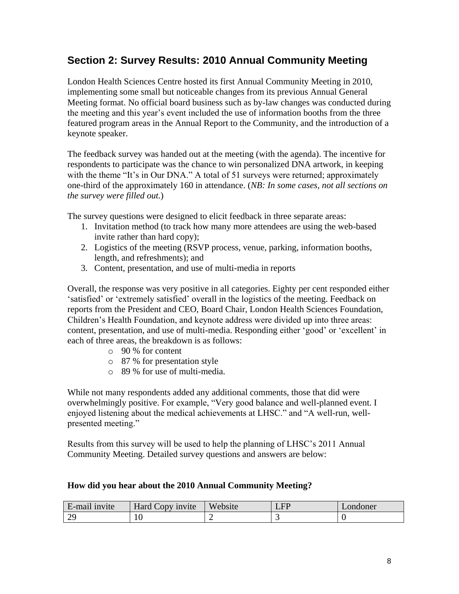# **Section 2: Survey Results: 2010 Annual Community Meeting**

London Health Sciences Centre hosted its first Annual Community Meeting in 2010, implementing some small but noticeable changes from its previous Annual General Meeting format. No official board business such as by-law changes was conducted during the meeting and this year"s event included the use of information booths from the three featured program areas in the Annual Report to the Community, and the introduction of a keynote speaker.

The feedback survey was handed out at the meeting (with the agenda). The incentive for respondents to participate was the chance to win personalized DNA artwork, in keeping with the theme "It's in Our DNA." A total of 51 surveys were returned; approximately one-third of the approximately 160 in attendance. (*NB: In some cases, not all sections on the survey were filled out.*)

The survey questions were designed to elicit feedback in three separate areas:

- 1. Invitation method (to track how many more attendees are using the web-based invite rather than hard copy);
- 2. Logistics of the meeting (RSVP process, venue, parking, information booths, length, and refreshments); and
- 3. Content, presentation, and use of multi-media in reports

Overall, the response was very positive in all categories. Eighty per cent responded either "satisfied" or "extremely satisfied" overall in the logistics of the meeting. Feedback on reports from the President and CEO, Board Chair, London Health Sciences Foundation, Children"s Health Foundation, and keynote address were divided up into three areas: content, presentation, and use of multi-media. Responding either 'good' or 'excellent' in each of three areas, the breakdown is as follows:

- o 90 % for content
- o 87 % for presentation style
- o 89 % for use of multi-media.

While not many respondents added any additional comments, those that did were overwhelmingly positive. For example, "Very good balance and well-planned event. I enjoyed listening about the medical achievements at LHSC." and "A well-run, wellpresented meeting."

Results from this survey will be used to help the planning of LHSC"s 2011 Annual Community Meeting. Detailed survey questions and answers are below:

## **How did you hear about the 2010 Annual Community Meeting?**

| $\cdots$<br>E-mail invite | Hard Copy invite | Website | FР<br>. | Londoner |
|---------------------------|------------------|---------|---------|----------|
| $\overline{\Omega}$<br>↩  | £<br>⊥∪          |         |         |          |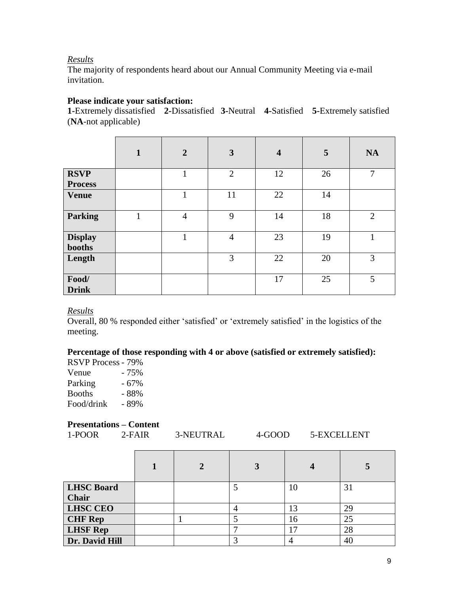#### *Results*

The majority of respondents heard about our Annual Community Meeting via e-mail invitation.

## **Please indicate your satisfaction:**

**1-**Extremely dissatisfied **2-**Dissatisfied **3-**Neutral **4-**Satisfied **5-**Extremely satisfied (**NA**-not applicable)

|                          | $\mathbf{1}$ | $\overline{2}$ | $\mathbf{3}$   | $\overline{\mathbf{4}}$ | 5  | <b>NA</b>      |
|--------------------------|--------------|----------------|----------------|-------------------------|----|----------------|
| <b>RSVP</b>              |              | 1              | $\overline{2}$ | 12                      | 26 | $\overline{7}$ |
| <b>Process</b>           |              |                |                |                         |    |                |
| <b>Venue</b>             |              |                | 11             | 22                      | 14 |                |
| <b>Parking</b>           |              | $\overline{4}$ | 9              | 14                      | 18 | 2              |
| <b>Display</b><br>booths |              | 1              | $\overline{4}$ | 23                      | 19 |                |
| Length                   |              |                | 3              | 22                      | 20 | 3              |
| Food/<br><b>Drink</b>    |              |                |                | 17                      | 25 | 5              |

#### *Results*

Overall, 80 % responded either "satisfied" or "extremely satisfied" in the logistics of the meeting.

#### **Percentage of those responding with 4 or above (satisfied or extremely satisfied):**

| <b>RSVP Process - 79%</b> |        |
|---------------------------|--------|
| Venue                     | - 75%  |
| Parking                   | - 67%  |
| <b>Booths</b>             | - 88%  |
| Food/drink                | $-89%$ |

#### **Presentations – Content**

|        | $\mathbf{1}$ resolutations $\mathbf{1}$ content |           |        |             |
|--------|-------------------------------------------------|-----------|--------|-------------|
| 1-POOR | $2-FAIR$                                        | 3-NEUTRAL | 4-GOOD | 5-EXCELLENT |
|        |                                                 |           |        |             |

| <b>LHSC Board</b> |  |   | 10 | 31 |
|-------------------|--|---|----|----|
| <b>Chair</b>      |  |   |    |    |
| <b>LHSC CEO</b>   |  | 4 | 13 | 29 |
| <b>CHF Rep</b>    |  |   | 16 | 25 |
| <b>LHSF Rep</b>   |  |   |    | 28 |
| Dr. David Hill    |  | ⌒ |    | 40 |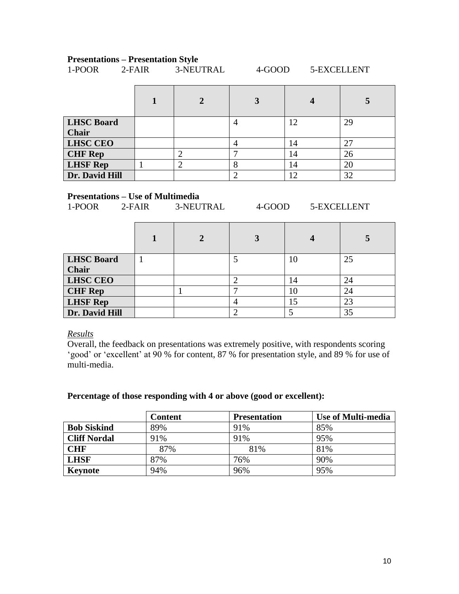# **Presentations – Presentation Style**<br>1-POOR 2-FAIR 3-NEUTRAL

| <b>LHSC Board</b> |                | $\overline{A}$ | 12 | 29 |
|-------------------|----------------|----------------|----|----|
| <b>Chair</b>      |                |                |    |    |
| <b>LHSC CEO</b>   |                | 4              | 14 | 27 |
| <b>CHF Rep</b>    | $\overline{2}$ |                | 14 | 26 |
| <b>LHSF Rep</b>   | $\overline{2}$ | 8              | 14 | 20 |
| Dr. David Hill    |                |                | 12 | 32 |

1-POOR 2-FAIR 3-NEUTRAL 4-GOOD 5-EXCELLENT

#### **Presentations – Use of Multimedia**

1-POOR 2-FAIR 3-NEUTRAL 4-GOOD 5-EXCELLENT

| <b>LHSC Board</b> |  | 10 | 25 |
|-------------------|--|----|----|
| <b>Chair</b>      |  |    |    |
| <b>LHSC CEO</b>   |  | 14 | 24 |
| <b>CHF Rep</b>    |  | 10 | 24 |
| <b>LHSF Rep</b>   |  |    | 23 |
| Dr. David Hill    |  |    | 35 |

*Results*

Overall, the feedback on presentations was extremely positive, with respondents scoring "good" or "excellent" at 90 % for content, 87 % for presentation style, and 89 % for use of multi-media.

#### **Percentage of those responding with 4 or above (good or excellent):**

|                     | <b>Content</b> | <b>Presentation</b> | Use of Multi-media |
|---------------------|----------------|---------------------|--------------------|
| <b>Bob Siskind</b>  | 89%            | 91%                 | 85%                |
| <b>Cliff Nordal</b> | 91%            | 91%                 | 95%                |
| <b>CHF</b>          | 87%            | 81%                 | 81%                |
| <b>LHSF</b>         | 87%            | 76%                 | 90%                |
| Keynote             | 94%            | 96%                 | 95%                |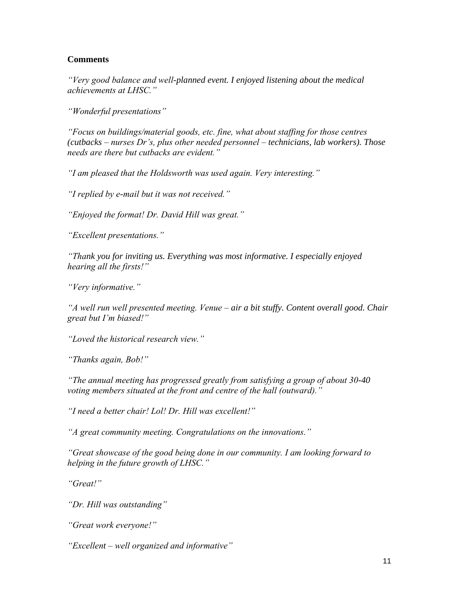#### **Comments**

*"Very good balance and well-planned event. I enjoyed listening about the medical achievements at LHSC."*

*"Wonderful presentations"*

*"Focus on buildings/material goods, etc. fine, what about staffing for those centres (cutbacks – nurses Dr's, plus other needed personnel – technicians, lab workers). Those needs are there but cutbacks are evident."*

*"I am pleased that the Holdsworth was used again. Very interesting."*

*"I replied by e-mail but it was not received."*

*"Enjoyed the format! Dr. David Hill was great."*

*"Excellent presentations."*

*"Thank you for inviting us. Everything was most informative. I especially enjoyed hearing all the firsts!"*

*"Very informative."*

*"A well run well presented meeting. Venue – air a bit stuffy. Content overall good. Chair great but I'm biased!"*

*"Loved the historical research view."*

*"Thanks again, Bob!"*

*"The annual meeting has progressed greatly from satisfying a group of about 30-40 voting members situated at the front and centre of the hall (outward)."*

*"I need a better chair! Lol! Dr. Hill was excellent!"*

*"A great community meeting. Congratulations on the innovations."*

*"Great showcase of the good being done in our community. I am looking forward to helping in the future growth of LHSC."*

*"Great!"*

*"Dr. Hill was outstanding"*

*"Great work everyone!"*

*"Excellent – well organized and informative"*